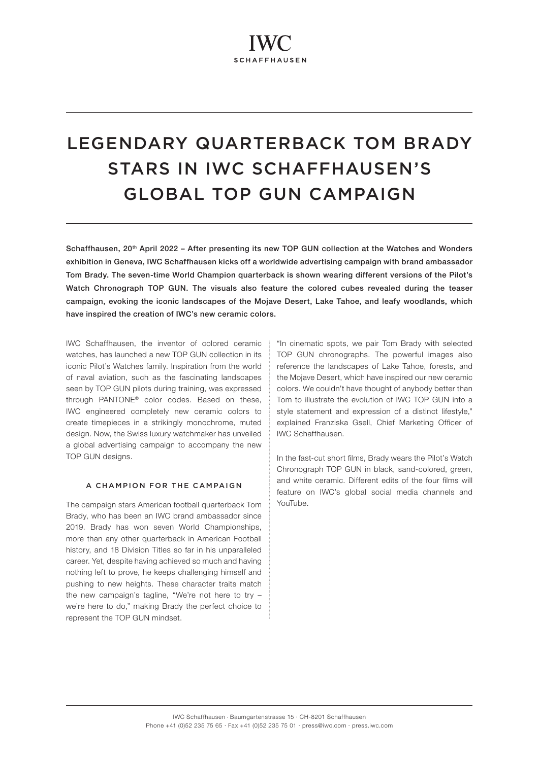# LEGENDARY QUARTERBACK TOM BRADY STARS IN IWC SCHAFFHAUSEN'S GLOBAL TOP GUN CAMPAIGN

Schaffhausen, 20<sup>th</sup> April 2022 - After presenting its new TOP GUN collection at the Watches and Wonders exhibition in Geneva, IWC Schaffhausen kicks off a worldwide advertising campaign with brand ambassador Tom Brady. The seven-time World Champion quarterback is shown wearing different versions of the Pilot's Watch Chronograph TOP GUN. The visuals also feature the colored cubes revealed during the teaser campaign, evoking the iconic landscapes of the Mojave Desert, Lake Tahoe, and leafy woodlands, which have inspired the creation of IWC's new ceramic colors.

IWC Schaffhausen, the inventor of colored ceramic watches, has launched a new TOP GUN collection in its iconic Pilot's Watches family. Inspiration from the world of naval aviation, such as the fascinating landscapes seen by TOP GUN pilots during training, was expressed through PANTONE® color codes. Based on these, IWC engineered completely new ceramic colors to create timepieces in a strikingly monochrome, muted design. Now, the Swiss luxury watchmaker has unveiled a global advertising campaign to accompany the new TOP GUN designs.

### A CHAMPION FOR THE CAMPAIGN

The campaign stars American football quarterback Tom Brady, who has been an IWC brand ambassador since 2019. Brady has won seven World Championships, more than any other quarterback in American Football history, and 18 Division Titles so far in his unparalleled career. Yet, despite having achieved so much and having nothing left to prove, he keeps challenging himself and pushing to new heights. These character traits match the new campaign's tagline, "We're not here to try – we're here to do," making Brady the perfect choice to represent the TOP GUN mindset.

"In cinematic spots, we pair Tom Brady with selected TOP GUN chronographs. The powerful images also reference the landscapes of Lake Tahoe, forests, and the Mojave Desert, which have inspired our new ceramic colors. We couldn't have thought of anybody better than Tom to illustrate the evolution of IWC TOP GUN into a style statement and expression of a distinct lifestyle," explained Franziska Gsell, Chief Marketing Officer of IWC Schaffhausen.

In the fast-cut short films, Brady wears the Pilot's Watch Chronograph TOP GUN in black, sand-colored, green, and white ceramic. Different edits of the four films will feature on IWC's global social media channels and YouTube.